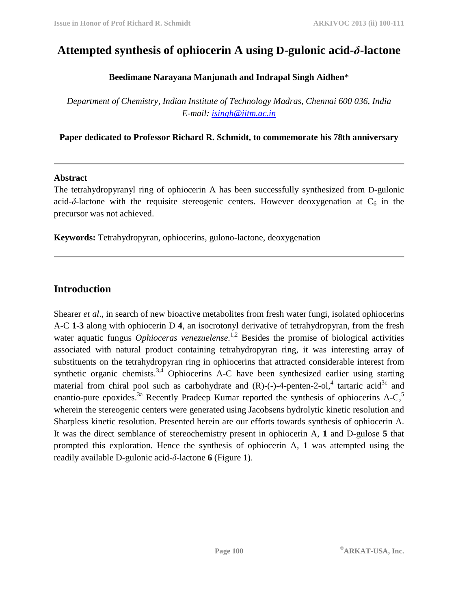# **Attempted synthesis of ophiocerin A using D-gulonic acid-***δ***-lactone**

### **Beedimane Narayana Manjunath and Indrapal Singh Aidhen**\*

*Department of Chemistry, Indian Institute of Technology Madras, Chennai 600 036, India E-mail: isingh@iitm.ac.in* 

**Paper dedicated to Professor Richard R. Schmidt, to commemorate his 78th anniversary** 

### **Abstract**

The tetrahydropyranyl ring of ophiocerin A has been successfully synthesized from D-gulonic acid- $\delta$ -lactone with the requisite stereogenic centers. However deoxygenation at  $C_6$  in the precursor was not achieved.

**Keywords:** Tetrahydropyran, ophiocerins, gulono-lactone, deoxygenation

## **Introduction**

Shearer *et al*., in search of new bioactive metabolites from fresh water fungi, isolated ophiocerins A-C **1**-**3** along with ophiocerin D **4**, an isocrotonyl derivative of tetrahydropyran, from the fresh water aquatic fungus *Ophioceras venezuelense*.<sup>1,2</sup> Besides the promise of biological activities associated with natural product containing tetrahydropyran ring, it was interesting array of substituents on the tetrahydropyran ring in ophiocerins that attracted considerable interest from synthetic organic chemists.<sup>3,4</sup> Ophiocerins A-C have been synthesized earlier using starting material from chiral pool such as carbohydrate and  $(R)$ -(-)-4-penten-2-ol,<sup>4</sup> tartaric acid<sup>3c</sup> and enantio-pure epoxides.<sup>3a</sup> Recently Pradeep Kumar reported the synthesis of ophiocerins A-C,<sup>5</sup> wherein the stereogenic centers were generated using Jacobsens hydrolytic kinetic resolution and Sharpless kinetic resolution. Presented herein are our efforts towards synthesis of ophiocerin A. It was the direct semblance of stereochemistry present in ophiocerin A, **1** and D-gulose **5** that prompted this exploration. Hence the synthesis of ophiocerin A, **1** was attempted using the readily available D-gulonic acid-*δ*-lactone **6** (Figure 1).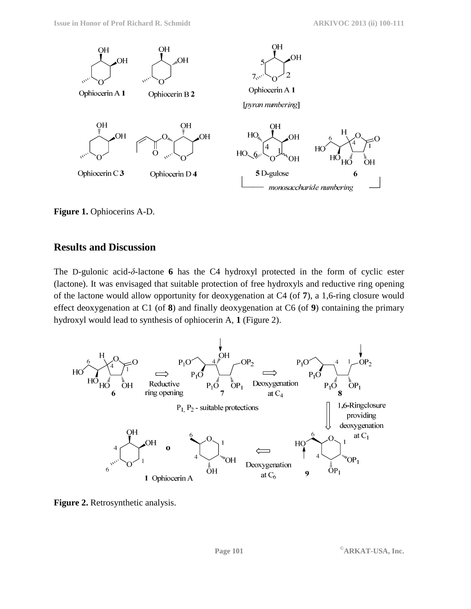

**Figure 1.** Ophiocerins A-D.

### **Results and Discussion**

The D-gulonic acid-*δ*-lactone **6** has the C4 hydroxyl protected in the form of cyclic ester (lactone). It was envisaged that suitable protection of free hydroxyls and reductive ring opening of the lactone would allow opportunity for deoxygenation at C4 (of **7**), a 1,6-ring closure would effect deoxygenation at C1 (of **8**) and finally deoxygenation at C6 (of **9**) containing the primary hydroxyl would lead to synthesis of ophiocerin A, **1** (Figure 2).



Figure 2. Retrosynthetic analysis.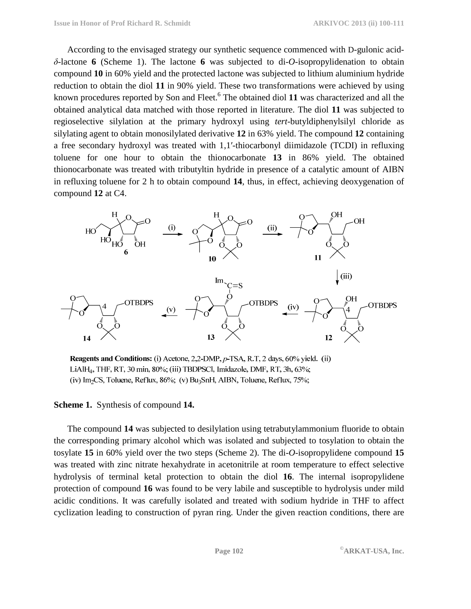According to the envisaged strategy our synthetic sequence commenced with D-gulonic acid*δ*-lactone **6** (Scheme 1). The lactone **6** was subjected to di-*O*-isopropylidenation to obtain compound **10** in 60% yield and the protected lactone was subjected to lithium aluminium hydride reduction to obtain the diol **11** in 90% yield. These two transformations were achieved by using known procedures reported by Son and Fleet.<sup>6</sup> The obtained diol 11 was characterized and all the obtained analytical data matched with those reported in literature. The diol **11** was subjected to regioselective silylation at the primary hydroxyl using *tert*-butyldiphenylsilyl chloride as silylating agent to obtain monosilylated derivative **12** in 63% yield. The compound **12** containing a free secondary hydroxyl was treated with 1,1′-thiocarbonyl diimidazole (TCDI) in refluxing toluene for one hour to obtain the thionocarbonate **13** in 86% yield. The obtained thionocarbonate was treated with tributyltin hydride in presence of a catalytic amount of AIBN in refluxing toluene for 2 h to obtain compound **14**, thus, in effect, achieving deoxygenation of compound **12** at C4.



Reagents and Conditions: (i) Acetone, 2,2-DMP, p-TSA, R.T, 2 days, 60% yield. (ii) LiAlH<sub>4</sub>, THF, RT, 30 min, 80%; (iii) TBDPSCl, Imidazole, DMF, RT, 3h, 63%; (iv) Im<sub>2</sub>CS, Toluene, Reflux, 86%; (v) Bu<sub>3</sub>SnH, AIBN, Toluene, Reflux, 75%;

#### **Scheme 1.** Synthesis of compound **14.**

The compound **14** was subjected to desilylation using tetrabutylammonium fluoride to obtain the corresponding primary alcohol which was isolated and subjected to tosylation to obtain the tosylate **15** in 60% yield over the two steps (Scheme 2). The di-*O*-isopropylidene compound **15**  was treated with zinc nitrate hexahydrate in acetonitrile at room temperature to effect selective hydrolysis of terminal ketal protection to obtain the diol **16**. The internal isopropylidene protection of compound **16** was found to be very labile and susceptible to hydrolysis under mild acidic conditions. It was carefully isolated and treated with sodium hydride in THF to affect cyclization leading to construction of pyran ring. Under the given reaction conditions, there are

**Page 102 ©ARKAT-USA, Inc.**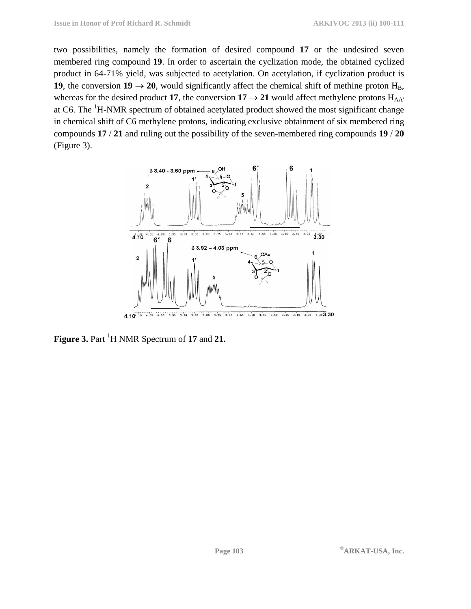two possibilities, namely the formation of desired compound **17** or the undesired seven membered ring compound **19**. In order to ascertain the cyclization mode, the obtained cyclized product in 64-71% yield, was subjected to acetylation. On acetylation, if cyclization product is **19**, the conversion  $19 \rightarrow 20$ , would significantly affect the chemical shift of methine proton H<sub>B</sub>, whereas for the desired product 17, the conversion  $17 \rightarrow 21$  would affect methylene protons  $H_{AA'}$ at C6. The <sup>1</sup>H-NMR spectrum of obtained acetylated product showed the most significant change in chemical shift of C6 methylene protons, indicating exclusive obtainment of six membered ring compounds **17** / **21** and ruling out the possibility of the seven-membered ring compounds **19** / **20** (Figure 3).



**Figure 3.** Part <sup>1</sup>H NMR Spectrum of 17 and 21.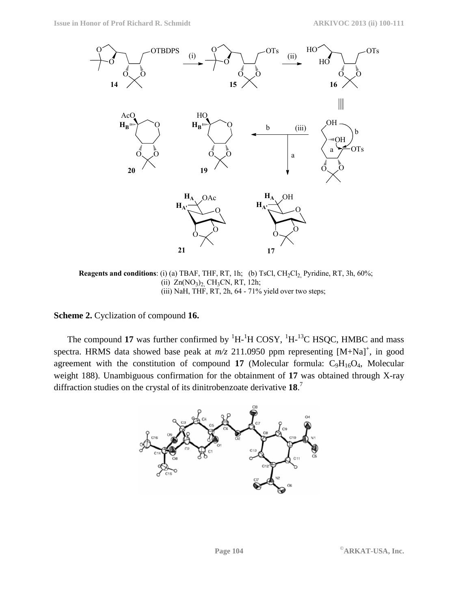

**Reagents and conditions**: (i) (a) TBAF, THF, RT, 1h; (b) TsCl, CH<sub>2</sub>Cl<sub>2</sub>, Pyridine, RT, 3h, 60%; (ii)  $Zn(NO<sub>3</sub>)<sub>2</sub>$ , CH<sub>3</sub>CN, RT, 12h; (iii) NaH, THF, RT, 2h, 64 - 71% yield over two steps;

**Scheme 2.** Cyclization of compound **16.** 

The compound 17 was further confirmed by <sup>1</sup>H-<sup>1</sup>H COSY, <sup>1</sup>H-<sup>13</sup>C HSQC, HMBC and mass spectra. HRMS data showed base peak at  $m/z$  211.0950 ppm representing  $[M+Na]^+$ , in good agreement with the constitution of compound  $17$  (Molecular formula:  $C_9H_{16}O_4$ , Molecular weight 188). Unambiguous confirmation for the obtainment of **17** was obtained through X-ray diffraction studies on the crystal of its dinitrobenzoate derivative **18**. 7

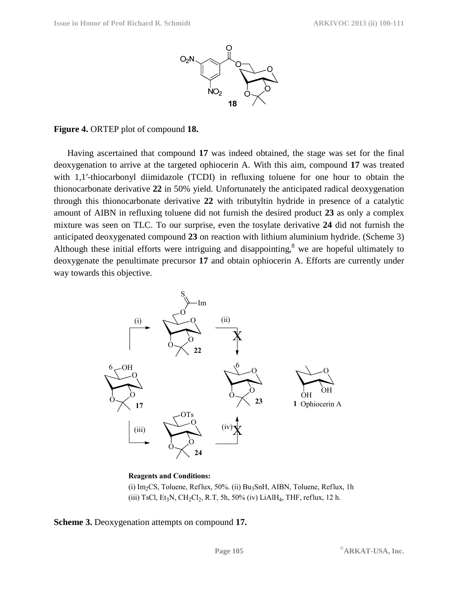

#### **Figure 4.** ORTEP plot of compound **18.**

Having ascertained that compound **17** was indeed obtained, the stage was set for the final deoxygenation to arrive at the targeted ophiocerin A. With this aim, compound **17** was treated with 1,1'-thiocarbonyl diimidazole (TCDI) in refluxing toluene for one hour to obtain the thionocarbonate derivative **22** in 50% yield. Unfortunately the anticipated radical deoxygenation through this thionocarbonate derivative **22** with tributyltin hydride in presence of a catalytic amount of AIBN in refluxing toluene did not furnish the desired product **23** as only a complex mixture was seen on TLC. To our surprise, even the tosylate derivative **24** did not furnish the anticipated deoxygenated compound **23** on reaction with lithium aluminium hydride. (Scheme 3) Although these initial efforts were intriguing and disappointing, $8$  we are hopeful ultimately to deoxygenate the penultimate precursor **17** and obtain ophiocerin A. Efforts are currently under way towards this objective.



#### **Reagents and Conditions:**

(i) Im2CS, Toluene, Reflux, 50%. (ii) Bu3SnH, AIBN, Toluene, Reflux, 1h (iii) TsCl, Et<sub>3</sub>N, CH<sub>2</sub>Cl<sub>2</sub>, R.T, 5h, 50% (iv) LiAlH<sub>4</sub>, THF, reflux, 12 h.

**Scheme 3.** Deoxygenation attempts on compound **17.**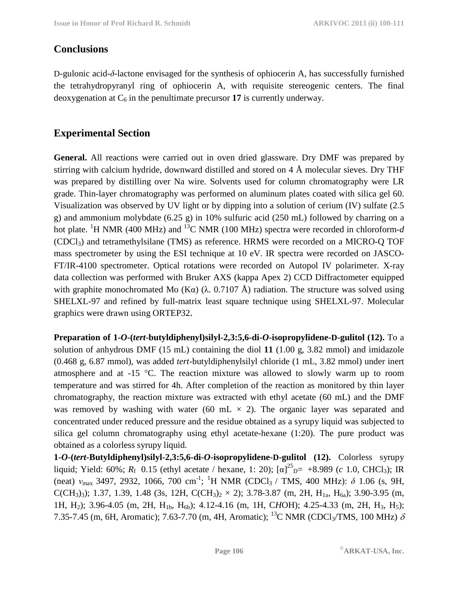## **Conclusions**

D-gulonic acid-*δ*-lactone envisaged for the synthesis of ophiocerin A, has successfully furnished the tetrahydropyranyl ring of ophiocerin A, with requisite stereogenic centers. The final deoxygenation at  $C_6$  in the penultimate precursor 17 is currently underway.

# **Experimental Section**

**General.** All reactions were carried out in oven dried glassware. Dry DMF was prepared by stirring with calcium hydride, downward distilled and stored on 4 Å molecular sieves. Dry THF was prepared by distilling over Na wire. Solvents used for column chromatography were LR grade. Thin-layer chromatography was performed on aluminum plates coated with silica gel 60. Visualization was observed by UV light or by dipping into a solution of cerium (IV) sulfate (2.5 g) and ammonium molybdate (6.25 g) in 10% sulfuric acid (250 mL) followed by charring on a hot plate. <sup>1</sup>H NMR (400 MHz) and <sup>13</sup>C NMR (100 MHz) spectra were recorded in chloroform-*d* (CDCl3) and tetramethylsilane (TMS) as reference. HRMS were recorded on a MICRO-Q TOF mass spectrometer by using the ESI technique at 10 eV. IR spectra were recorded on JASCO-FT/IR-4100 spectrometer. Optical rotations were recorded on Autopol IV polarimeter. X-ray data collection was performed with Bruker AXS (kappa Apex 2) CCD Diffractometer equipped with graphite monochromated Mo (K $\alpha$ ) ( $\lambda$ . 0.7107 Å) radiation. The structure was solved using SHELXL-97 and refined by full-matrix least square technique using SHELXL-97. Molecular graphics were drawn using ORTEP32.

**Preparation of 1-***O***-(***tert***-butyldiphenyl)silyl-2,3:5,6-di-***O***-isopropylidene-D-gulitol (12).** To a solution of anhydrous DMF (15 mL) containing the diol **11** (1.00 g, 3.82 mmol) and imidazole (0.468 g, 6.87 mmol), was added *tert-*butyldiphenylsilyl chloride (1 mL, 3.82 mmol) under inert atmosphere and at -15 °C. The reaction mixture was allowed to slowly warm up to room temperature and was stirred for 4h. After completion of the reaction as monitored by thin layer chromatography, the reaction mixture was extracted with ethyl acetate (60 mL) and the DMF was removed by washing with water (60 mL  $\times$  2). The organic layer was separated and concentrated under reduced pressure and the residue obtained as a syrupy liquid was subjected to silica gel column chromatography using ethyl acetate-hexane (1:20). The pure product was obtained as a colorless syrupy liquid.

**1-***O***-(***tert***-Butyldiphenyl)silyl-2,3:5,6-di-***O***-isopropylidene-D-gulitol (12).** Colorless syrupy liquid; Yield: 60%;  $R_f$  0.15 (ethyl acetate / hexane, 1: 20);  $[\alpha]_{D}^{25} = +8.989$  (*c* 1.0, CHCl<sub>3</sub>); IR (neat) *ν*<sub>max</sub> 3497, 2932, 1066, 700 cm<sup>-1</sup>; <sup>1</sup>H NMR (CDCl<sub>3</sub> / TMS, 400 MHz): δ 1.06 (s, 9H, C(CH<sub>3</sub>)<sub>3</sub>); 1.37, 1.39, 1.48 (3s, 12H, C(CH<sub>3</sub>)<sub>2</sub> × 2); 3.78-3.87 (m, 2H, H<sub>1a</sub>, H<sub>6a</sub>); 3.90-3.95 (m, 1H, H<sub>2</sub>); 3.96-4.05 (m, 2H, H<sub>1b</sub>, H<sub>6b</sub>); 4.12-4.16 (m, 1H, CHOH); 4.25-4.33 (m, 2H, H<sub>3</sub>, H<sub>5</sub>); 7.35-7.45 (m, 6H, Aromatic); 7.63-7.70 (m, 4H, Aromatic); <sup>13</sup>C NMR (CDCl<sub>3</sub>/TMS, 100 MHz)  $\delta$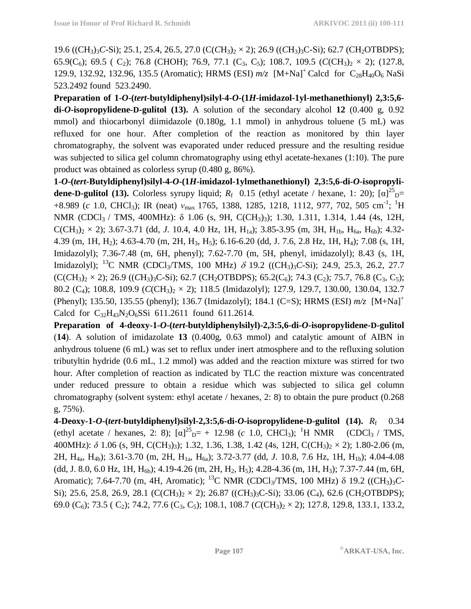19.6 ((CH3)3*C*-Si); 25.1, 25.4, 26.5, 27.0 (C(*C*H3)2 × 2); 26.9 ((*C*H3)3C-Si); 62.7 (CH2OTBDPS); 65.9( $C_6$ ); 69.5 (  $C_2$ ); 76.8 (CHOH); 76.9, 77.1 ( $C_3$ ,  $C_5$ ); 108.7, 109.5 ( $C(CH_3)_2 \times 2$ ); (127.8, 129.9, 132.92, 132.96, 135.5 (Aromatic); HRMS (ESI)  $m/z$  [M+Na]<sup>+</sup> Calcd for C<sub>28</sub>H<sub>40</sub>O<sub>6</sub> NaSi 523.2492 found 523.2490.

**Preparation of 1-***O***-(***tert***-butyldiphenyl)silyl-4-***O***-(1***H***-imidazol-1yl-methanethionyl) 2,3:5,6 di-***O***-isopropylidene-D-gulitol (13).** A solution of the secondary alcohol **12** (0.400 g, 0.92 mmol) and thiocarbonyl diimidazole (0.180g, 1.1 mmol) in anhydrous toluene (5 mL) was refluxed for one hour. After completion of the reaction as monitored by thin layer chromatography, the solvent was evaporated under reduced pressure and the resulting residue was subjected to silica gel column chromatography using ethyl acetate-hexanes (1:10). The pure product was obtained as colorless syrup (0.480 g, 86%).

**1-***O***-(***tert***-Butyldiphenyl)silyl-4-***O***-(1***H***-imidazol-1ylmethanethionyl) 2,3:5,6-di-***O***-isopropylidene-D-gulitol (13).** Colorless syrupy liquid;  $R_f$  0.15 (ethyl acetate / hexane, 1: 20);  $[\alpha]^{25}$ <sub>D</sub>= +8.989 (*c* 1.0, CHCl<sub>3</sub>); IR (neat)  $v_{\text{max}}$  1765, 1388, 1285, 1218, 1112, 977, 702, 505 cm<sup>-1</sup>; <sup>1</sup>H NMR (CDCl3 / TMS, 400MHz): δ 1.06 (s, 9H, C(CH3)3); 1.30, 1.311, 1.314, 1.44 (4s, 12H,  $C(CH_3)_{2} \times 2$ ); 3.67-3.71 (dd, *J*. 10.4, 4.0 Hz, 1H, H<sub>1a</sub>); 3.85-3.95 (m, 3H, H<sub>1b</sub>, H<sub>6a</sub>, H<sub>6b</sub>); 4.32-4.39 (m, 1H, H2); 4.63-4.70 (m, 2H, H3, H5); 6.16-6.20 (dd, J. 7.6, 2.8 Hz, 1H, H4); 7.08 (s, 1H, Imidazolyl); 7.36-7.48 (m, 6H, phenyl); 7.62-7.70 (m, 5H, phenyl, imidazolyl); 8.43 (s, 1H, Imidazolyl); <sup>13</sup>C NMR (CDCl3/TMS, 100 MHz) δ 19.2 ((CH3)3*C*-Si); 24.9, 25.3, 26.2, 27.7  $(C(CH_3)_2 \times 2)$ ; 26.9  $((CH_3)_3C-Si)$ ; 62.7  $(CH_2OTBDPS)$ ; 65.2 $(C_6)$ ; 74.3  $(C_2)$ ; 75.7, 76.8  $(C_3, C_5)$ ; 80.2 (C<sub>4</sub>); 108.8, 109.9 (*C*(CH<sub>3</sub>)<sub>2</sub> × 2); 118.5 (Imidazolyl); 127.9, 129.7, 130.00, 130.04, 132.7 (Phenyl); 135.50, 135.55 (phenyl); 136.7 (Imidazolyl); 184.1 (C=S); HRMS (ESI) *m/z* [M+Na]<sup>+</sup> Calcd for  $C_{32}H_{43}N_2O_6SSi$  611.2611 found 611.2614.

**Preparation of 4-deoxy-1-***O***-(***tert***-butyldiphenylsilyl)-2,3:5,6-di-***O***-isopropylidene-D-gulitol**  (**14**). A solution of imidazolate **13** (0.400g, 0.63 mmol) and catalytic amount of AIBN in anhydrous toluene (6 mL) was set to reflux under inert atmosphere and to the refluxing solution tributyltin hydride (0.6 mL, 1.2 mmol) was added and the reaction mixture was stirred for two hour. After completion of reaction as indicated by TLC the reaction mixture was concentrated under reduced pressure to obtain a residue which was subjected to silica gel column chromatography (solvent system: ethyl acetate / hexanes, 2: 8) to obtain the pure product (0.268 g, 75%).

**4-Deoxy-1-***O***-(***tert***-butyldiphenyl)silyl-2,3:5,6-di-***O***-isopropylidene-D-gulitol (14).** *R*f 0.34 (ethyl acetate / hexanes, 2: 8);  $[\alpha]^{25}{}_{D} = + 12.98$  (*c* 1.0, CHCl<sub>3</sub>); <sup>1</sup>H NMR (CDCl<sub>3</sub> / TMS, 400MHz): δ 1.06 (s, 9H, C(CH<sub>3</sub>)<sub>3</sub>); 1.32, 1.36, 1.38, 1.42 (4s, 12H, C(CH<sub>3</sub>)<sub>2</sub> × 2); 1.80-2.06 (m, 2H, H4a, H4b); 3.61-3.70 (m, 2H, H1a, H6a); 3.72-3.77 (dd, *J*. 10.8, 7.6 Hz, 1H, H1b); 4.04-4.08 (dd, J. 8.0, 6.0 Hz, 1H, H<sub>6b</sub>); 4.19-4.26 (m, 2H, H<sub>2</sub>, H<sub>5</sub>); 4.28-4.36 (m, 1H, H<sub>3</sub>); 7.37-7.44 (m, 6H, Aromatic); 7.64-7.70 (m, 4H, Aromatic); <sup>13</sup>C NMR (CDCl3/TMS, 100 MHz) δ 19.2 ((CH3)3*C*-Si); 25.6, 25.8, 26.9, 28.1 ( $C(CH_3)_2 \times 2$ ); 26.87 (( $CH_3$ )<sub>3</sub>C-Si); 33.06 (C<sub>4</sub>), 62.6 (CH<sub>2</sub>OTBDPS); 69.0 (C6); 73.5 ( C2); 74.2, 77.6 (C3, C5); 108.1, 108.7 (*C*(CH3)2 × 2); 127.8, 129.8, 133.1, 133.2,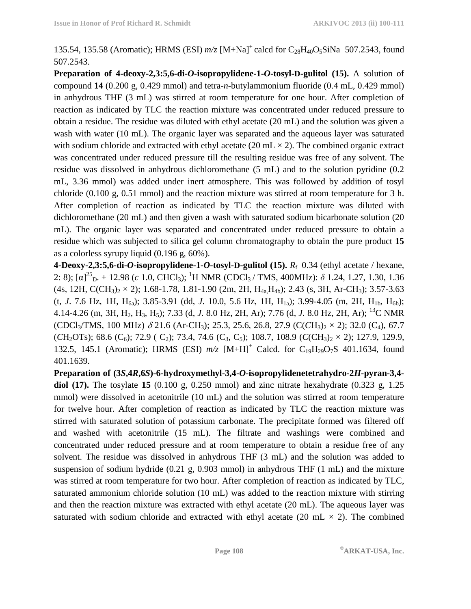135.54, 135.58 (Aromatic); HRMS (ESI)  $m/z$  [M+Na]<sup>+</sup> calcd for C<sub>28</sub>H<sub>40</sub>O<sub>5</sub>SiNa 507.2543, found 507.2543.

**Preparation of 4-deoxy-2,3:5,6-di-***O***-isopropylidene-1-***O***-tosyl-D-gulitol (15).** A solution of compound **14** (0.200 g, 0.429 mmol) and tetra-*n*-butylammonium fluoride (0.4 mL, 0.429 mmol) in anhydrous THF (3 mL) was stirred at room temperature for one hour. After completion of reaction as indicated by TLC the reaction mixture was concentrated under reduced pressure to obtain a residue. The residue was diluted with ethyl acetate (20 mL) and the solution was given a wash with water (10 mL). The organic layer was separated and the aqueous layer was saturated with sodium chloride and extracted with ethyl acetate (20 mL  $\times$  2). The combined organic extract was concentrated under reduced pressure till the resulting residue was free of any solvent. The residue was dissolved in anhydrous dichloromethane (5 mL) and to the solution pyridine (0.2 mL, 3.36 mmol) was added under inert atmosphere. This was followed by addition of tosyl chloride (0.100 g, 0.51 mmol) and the reaction mixture was stirred at room temperature for 3 h. After completion of reaction as indicated by TLC the reaction mixture was diluted with dichloromethane (20 mL) and then given a wash with saturated sodium bicarbonate solution (20 mL). The organic layer was separated and concentrated under reduced pressure to obtain a residue which was subjected to silica gel column chromatography to obtain the pure product **15**  as a colorless syrupy liquid (0.196 g, 60%).

**4-Deoxy-2,3:5,6-di-***O***-isopropylidene-1-***O***-tosyl-D-gulitol (15).** *R*f 0.34 (ethyl acetate / hexane, 2: 8); [α]<sup>25</sup><sub>D</sub>. + 12.98 (*c* 1.0, CHCl<sub>3</sub>); <sup>1</sup>H NMR (CDCl<sub>3</sub>/TMS, 400MHz): *δ* 1.24, 1.27, 1.30, 1.36  $(4s, 12H, C(CH_3)_2 \times 2)$ ; 1.68-1.78, 1.81-1.90 (2m, 2H,  $H_{4a}H_{4b}$ ); 2.43 (s, 3H, Ar-CH<sub>3</sub>); 3.57-3.63 (t, *J*. 7.6 Hz, 1H, H6a); 3.85-3.91 (dd, *J*. 10.0, 5.6 Hz, 1H, H1a); 3.99-4.05 (m, 2H, H1b, H6b); 4.14-4.26 (m, 3H, H2, H3, H5); 7.33 (d, *J*. 8.0 Hz, 2H, Ar); 7.76 (d, *J*. 8.0 Hz, 2H, Ar); <sup>13</sup>C NMR (CDCl3/TMS, 100 MHz) δ 21.6 (Ar-CH3); 25.3, 25.6, 26.8, 27.9 (C(*C*H3)2 × 2); 32.0 (C4), 67.7 (*C*H<sub>2</sub>OTs); 68.6 (C<sub>6</sub>); 72.9 (C<sub>2</sub>); 73.4, 74.6 (C<sub>3</sub>, C<sub>5</sub>); 108.7, 108.9 (*C*(*CH*<sub>3</sub>)<sub>2</sub> × 2); 127.9, 129.9, 132.5, 145.1 (Aromatic); HRMS (ESI)  $m/z$  [M+H]<sup>+</sup> Calcd. for C<sub>19</sub>H<sub>29</sub>O<sub>7</sub>S 401.1634, found 401.1639.

**Preparation of (3***S***,4***R***,6***S***)-6-hydroxymethyl-3,4-***O***-isopropylidenetetrahydro-2***H***-pyran-3,4 diol (17).** The tosylate **15** (0.100 g, 0.250 mmol) and zinc nitrate hexahydrate (0.323 g, 1.25 mmol) were dissolved in acetonitrile (10 mL) and the solution was stirred at room temperature for twelve hour. After completion of reaction as indicated by TLC the reaction mixture was stirred with saturated solution of potassium carbonate. The precipitate formed was filtered off and washed with acetonitrile (15 mL). The filtrate and washings were combined and concentrated under reduced pressure and at room temperature to obtain a residue free of any solvent. The residue was dissolved in anhydrous THF (3 mL) and the solution was added to suspension of sodium hydride (0.21 g, 0.903 mmol) in anhydrous THF (1 mL) and the mixture was stirred at room temperature for two hour. After completion of reaction as indicated by TLC, saturated ammonium chloride solution (10 mL) was added to the reaction mixture with stirring and then the reaction mixture was extracted with ethyl acetate (20 mL). The aqueous layer was saturated with sodium chloride and extracted with ethyl acetate (20 mL  $\times$  2). The combined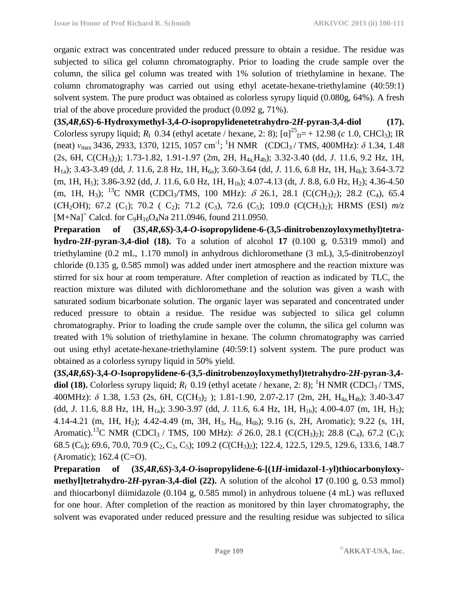organic extract was concentrated under reduced pressure to obtain a residue. The residue was subjected to silica gel column chromatography. Prior to loading the crude sample over the column, the silica gel column was treated with 1% solution of triethylamine in hexane. The column chromatography was carried out using ethyl acetate-hexane-triethylamine (40:59:1) solvent system. The pure product was obtained as colorless syrupy liquid (0.080g, 64%). A fresh trial of the above procedure provided the product (0.092 g, 71%).

**(3***S***,4***R***,6***S***)-6-Hydroxymethyl-3,4-***O***-isopropylidenetetrahydro-2***H***-pyran-3,4-diol (17).**  Colorless syrupy liquid;  $R_f$  0.34 (ethyl acetate / hexane, 2: 8);  $[\alpha]_{D}^{25} = +12.98$  (*c* 1.0, CHCl<sub>3</sub>); IR (neat)  $v_{\text{max}}$  3436, 2933, 1370, 1215, 1057 cm<sup>-1</sup>; <sup>1</sup>H NMR (CDCl<sub>3</sub>/TMS, 400MHz):  $\delta$  1.34, 1.48 (2s, 6H, C(CH3)2); 1.73-1.82, 1.91-1.97 (2m, 2H, H4a,H4b); 3.32-3.40 (dd, *J*. 11.6, 9.2 Hz, 1H, H<sub>1a</sub>); 3.43-3.49 (dd, *J.* 11.6, 2.8 Hz, 1H, H<sub>6a</sub>); 3.60-3.64 (dd, *J.* 11.6, 6.8 Hz, 1H, H<sub>6b</sub>); 3.64-3.72 (m, 1H, H<sub>5</sub>); 3.86-3.92 (dd, *J*. 11.6, 6.0 Hz, 1H, H<sub>1b</sub>); 4.07-4.13 (dt, *J*. 8.8, 6.0 Hz, H<sub>2</sub>); 4.36-4.50 (m, 1H, H3); <sup>13</sup>C NMR (CDCl3/TMS, 100 MHz): δ 26.1, 28.1 (C(*C*H3)2); 28.2 (C4), 65.4  $(CH_2OH)$ ; 67.2  $(C_1)$ ; 70.2  $(C_2)$ ; 71.2  $(C_3)$ , 72.6  $(C_5)$ ; 109.0  $(C(CH_3)_2)$ ; HRMS (ESI)  $m/z$ [M+Na]<sup>+</sup> Calcd. for C<sub>9</sub>H<sub>16</sub>O<sub>4</sub>Na 211.0946, found 211.0950.

**Preparation of (3***S***,4***R***,6***S***)-3,4-***O***-isopropylidene-6-(3,5-dinitrobenzoyloxymethyl)tetrahydro-2***H***-pyran-3,4-diol (18).** To a solution of alcohol 17  $(0.100 \text{ g}, 0.5319 \text{ mmol})$  and triethylamine (0.2 mL, 1.170 mmol) in anhydrous dichloromethane (3 mL), 3,5-dinitrobenzoyl chloride (0.135 g, 0.585 mmol) was added under inert atmosphere and the reaction mixture was stirred for six hour at room temperature. After completion of reaction as indicated by TLC, the reaction mixture was diluted with dichloromethane and the solution was given a wash with saturated sodium bicarbonate solution. The organic layer was separated and concentrated under reduced pressure to obtain a residue. The residue was subjected to silica gel column chromatography. Prior to loading the crude sample over the column, the silica gel column was treated with 1% solution of triethylamine in hexane. The column chromatography was carried out using ethyl acetate-hexane-triethylamine (40:59:1) solvent system. The pure product was obtained as a colorless syrupy liquid in 50% yield.

**(3***S***,4***R***,6***S***)-3,4-***O***-Isopropylidene-6-(3,5-dinitrobenzoyloxymethyl)tetrahydro-2***H***-pyran-3,4 diol (18).** Colorless syrupy liquid;  $R_f$  0.19 (ethyl acetate / hexane, 2: 8); <sup>1</sup>H NMR (CDCl<sub>3</sub>/ TMS, 400MHz): *δ* 1.38, 1.53 (2s, 6H, C(CH3)2 ); 1.81-1.90, 2.07-2.17 (2m, 2H, H4a,H4b); 3.40-3.47 (dd, *J*. 11.6, 8.8 Hz, 1H, H1a); 3.90-3.97 (dd, *J*. 11.6, 6.4 Hz, 1H, H1b); 4.00-4.07 (m, 1H, H5); 4.14-4.21 (m, 1H, H<sub>2</sub>); 4.42-4.49 (m, 3H, H<sub>3</sub>, H<sub>6a</sub>, H<sub>6b</sub>); 9.16 (s, 2H, Aromatic); 9.22 (s, 1H, Aromatic).<sup>13</sup>C NMR (CDCl<sub>3</sub> / TMS, 100 MHz): δ 26.0, 28.1 (C(CH<sub>3</sub>)<sub>2</sub>); 28.8 (C<sub>4</sub>), 67.2 (C<sub>1</sub>); 68.5 (C<sub>6</sub>); 69.6, 70.0, 70.9 (C<sub>2</sub>, C<sub>3</sub>, C<sub>5</sub>); 109.2 (*C*(CH<sub>3</sub>)<sub>2</sub>); 122.4, 122.5, 129.5, 129.6, 133.6, 148.7 (Aromatic); 162.4 (C=O).

**Preparation of (3***S***,4***R***,6***S***)-3,4-***O***-isopropylidene-6-[(1***H***-imidazol-1-yl)thiocarbonyloxymethyl]tetrahydro-2***H***-pyran-3,4-diol (22).** A solution of the alcohol **17** (0.100 g, 0.53 mmol) and thiocarbonyl diimidazole (0.104 g, 0.585 mmol) in anhydrous toluene (4 mL) was refluxed for one hour. After completion of the reaction as monitored by thin layer chromatography, the solvent was evaporated under reduced pressure and the resulting residue was subjected to silica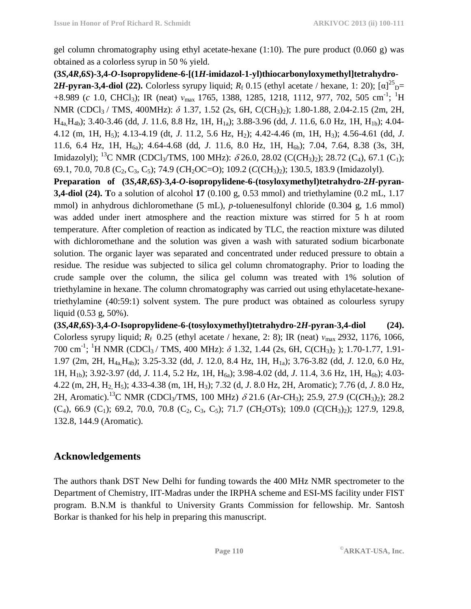gel column chromatography using ethyl acetate-hexane  $(1:10)$ . The pure product  $(0.060 \text{ g})$  was obtained as a colorless syrup in 50 % yield.

**(3***S***,4***R***,6***S***)-3,4-***O***-Isopropylidene-6-[(1***H***-imidazol-1-yl)thiocarbonyloxymethyl]tetrahydro-2***H***-pyran-3,4-diol (22).** Colorless syrupy liquid;  $R_f$  0.15 (ethyl acetate / hexane, 1: 20);  $[\alpha]^{25}$ <sub>D</sub>= +8.989 (*c* 1.0, CHCl<sub>3</sub>); IR (neat)  $v_{\text{max}}$  1765, 1388, 1285, 1218, 1112, 977, 702, 505 cm<sup>-1</sup>; <sup>1</sup>H NMR (CDCl<sub>3</sub> / TMS, 400MHz): δ 1.37, 1.52 (2s, 6H, C(CH<sub>3</sub>)<sub>2</sub>); 1.80-1.88, 2.04-2.15 (2m, 2H, H4a,H4b); 3.40-3.46 (dd, *J*. 11.6, 8.8 Hz, 1H, H1a); 3.88-3.96 (dd, *J*. 11.6, 6.0 Hz, 1H, H1b); 4.04- 4.12 (m, 1H, H5); 4.13-4.19 (dt, *J*. 11.2, 5.6 Hz, H2); 4.42-4.46 (m, 1H, H3); 4.56-4.61 (dd, *J*. 11.6, 6.4 Hz, 1H, H<sub>6a</sub>); 4.64-4.68 (dd, *J*. 11.6, 8.0 Hz, 1H, H<sub>6b</sub>); 7.04, 7.64, 8.38 (3s, 3H, Imidazolyl); <sup>13</sup>C NMR (CDCl<sub>3</sub>/TMS, 100 MHz):  $\delta$  26.0, 28.02 (C(*CH*<sub>3</sub>)<sub>2</sub>); 28.72 (C<sub>4</sub>), 67.1 (C<sub>1</sub>); 69.1, 70.0, 70.8 (C2,C3, C5); 74.9 (*C*H2OC=O); 109.2 (*C*(CH3)2); 130.5, 183.9 (Imidazolyl).

**Preparation of (3***S***,4***R***,6***S***)-3,4-***O***-isopropylidene-6-(tosyloxymethyl)tetrahydro-2***H***-pyran-3,4-diol (24). T**o a solution of alcohol **17** (0.100 g, 0.53 mmol) and triethylamine (0.2 mL, 1.17 mmol) in anhydrous dichloromethane (5 mL), *p*-toluenesulfonyl chloride (0.304 g, 1.6 mmol) was added under inert atmosphere and the reaction mixture was stirred for 5 h at room temperature. After completion of reaction as indicated by TLC, the reaction mixture was diluted with dichloromethane and the solution was given a wash with saturated sodium bicarbonate solution. The organic layer was separated and concentrated under reduced pressure to obtain a residue. The residue was subjected to silica gel column chromatography. Prior to loading the crude sample over the column, the silica gel column was treated with 1% solution of triethylamine in hexane. The column chromatography was carried out using ethylacetate-hexanetriethylamine (40:59:1) solvent system. The pure product was obtained as colourless syrupy liquid (0.53 g, 50%).

**(3***S***,4***R***,6***S***)-3,4-***O***-Isopropylidene-6-(tosyloxymethyl)tetrahydro-2***H***-pyran-3,4-diol (24).**  Colorless syrupy liquid; *R*f 0.25 (ethyl acetate / hexane, 2: 8); IR (neat) *ν*max 2932, 1176, 1066, 700 cm<sup>-1</sup>; <sup>1</sup>H NMR (CDCl<sub>3</sub> / TMS, 400 MHz): δ 1.32, 1.44 (2s, 6H, C(CH<sub>3</sub>)<sub>2</sub>); 1.70-1.77, 1.91-1.97 (2m, 2H, H4a,H4b); 3.25-3.32 (dd, *J*. 12.0, 8.4 Hz, 1H, H1a); 3.76-3.82 (dd, *J*. 12.0, 6.0 Hz, 1H, H<sub>1b</sub>); 3.92-3.97 (dd, *J*. 11.4, 5.2 Hz, 1H, H<sub>6a</sub>); 3.98-4.02 (dd, *J*. 11.4, 3.6 Hz, 1H, H<sub>6b</sub>); 4.03-4.22 (m, 2H, H2, H5); 4.33-4.38 (m, 1H, H3); 7.32 (d, *J*. 8.0 Hz, 2H, Aromatic); 7.76 (d, *J*. 8.0 Hz, 2H, Aromatic).<sup>13</sup>C NMR (CDCl3/TMS, 100 MHz) δ 21.6 (Ar-*C*H3); 25.9, 27.9 (C(*C*H3)2); 28.2  $(C_4)$ , 66.9  $(C_1)$ ; 69.2, 70.0, 70.8  $(C_2, C_3, C_5)$ ; 71.7  $(CH_2OTs)$ ; 109.0  $(C(CH_3)_2)$ ; 127.9, 129.8, 132.8, 144.9 (Aromatic).

## **Acknowledgements**

The authors thank DST New Delhi for funding towards the 400 MHz NMR spectrometer to the Department of Chemistry, IIT-Madras under the IRPHA scheme and ESI-MS facility under FIST program. B.N.M is thankful to University Grants Commission for fellowship. Mr. Santosh Borkar is thanked for his help in preparing this manuscript.